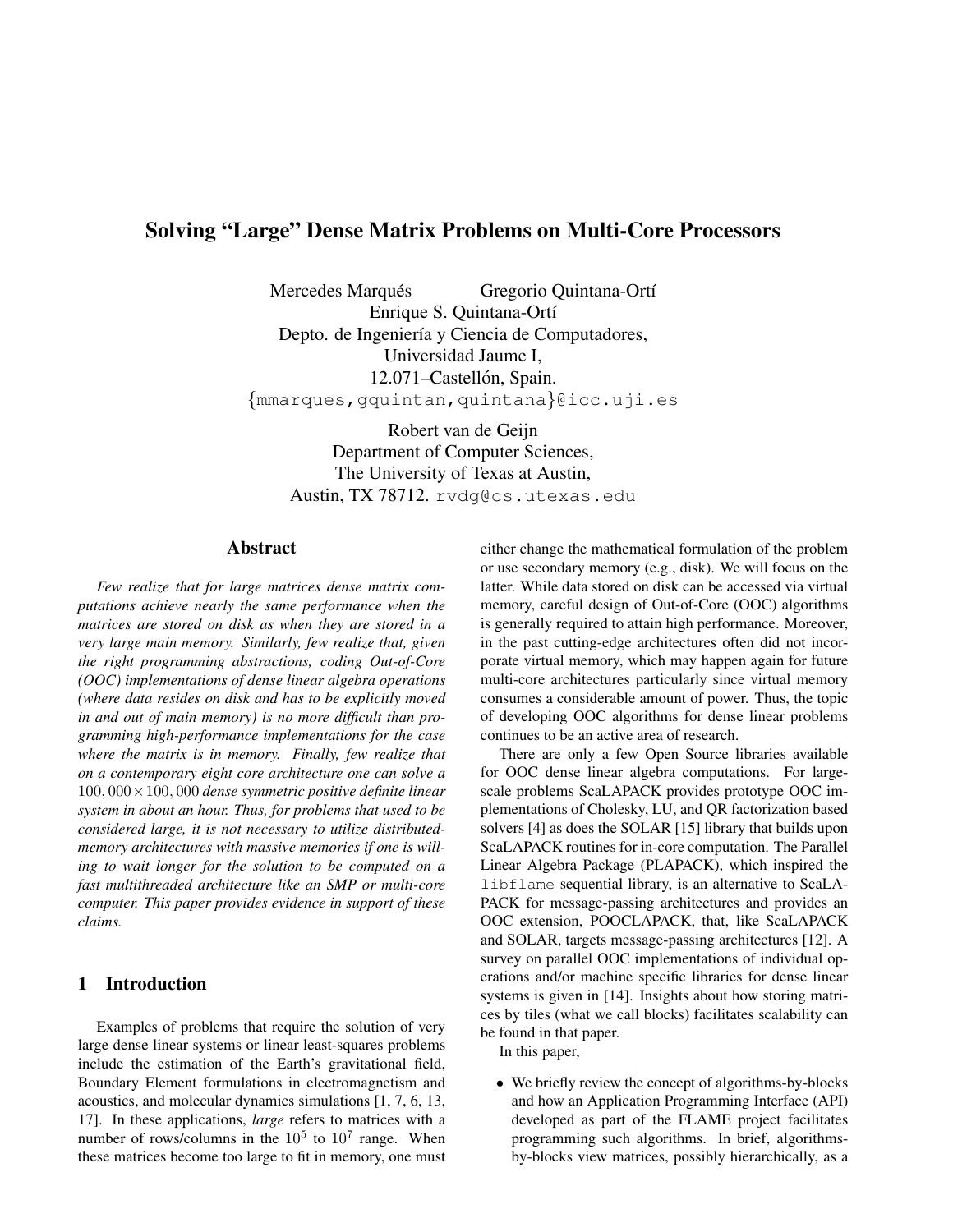# Solving "Large" Dense Matrix Problems on Multi-Core Processors

Mercedes Marqués <sup>Gregorio</sup> Quintana-Ortí Enrique S. Quintana-Ortí Depto. de Ingeniería y Ciencia de Computadores, Universidad Jaume I, 12.071–Castellón, Spain. {mmarques,gquintan,quintana}@icc.uji.es

Robert van de Geijn Department of Computer Sciences, The University of Texas at Austin, Austin, TX 78712. rvdg@cs.utexas.edu

## Abstract

*Few realize that for large matrices dense matrix computations achieve nearly the same performance when the matrices are stored on disk as when they are stored in a very large main memory. Similarly, few realize that, given the right programming abstractions, coding Out-of-Core (OOC) implementations of dense linear algebra operations (where data resides on disk and has to be explicitly moved in and out of main memory) is no more difficult than programming high-performance implementations for the case where the matrix is in memory. Finally, few realize that on a contemporary eight core architecture one can solve a* 100, 000×100, 000 *dense symmetric positive definite linear system in about an hour. Thus, for problems that used to be considered large, it is not necessary to utilize distributedmemory architectures with massive memories if one is willing to wait longer for the solution to be computed on a fast multithreaded architecture like an SMP or multi-core computer. This paper provides evidence in support of these claims.*

### 1 Introduction

Examples of problems that require the solution of very large dense linear systems or linear least-squares problems include the estimation of the Earth's gravitational field, Boundary Element formulations in electromagnetism and acoustics, and molecular dynamics simulations [1, 7, 6, 13, 17]. In these applications, *large* refers to matrices with a number of rows/columns in the  $10^5$  to  $10^7$  range. When these matrices become too large to fit in memory, one must either change the mathematical formulation of the problem or use secondary memory (e.g., disk). We will focus on the latter. While data stored on disk can be accessed via virtual memory, careful design of Out-of-Core (OOC) algorithms is generally required to attain high performance. Moreover, in the past cutting-edge architectures often did not incorporate virtual memory, which may happen again for future multi-core architectures particularly since virtual memory consumes a considerable amount of power. Thus, the topic of developing OOC algorithms for dense linear problems continues to be an active area of research.

There are only a few Open Source libraries available for OOC dense linear algebra computations. For largescale problems ScaLAPACK provides prototype OOC implementations of Cholesky, LU, and QR factorization based solvers [4] as does the SOLAR [15] library that builds upon ScaLAPACK routines for in-core computation. The Parallel Linear Algebra Package (PLAPACK), which inspired the libflame sequential library, is an alternative to ScaLA-PACK for message-passing architectures and provides an OOC extension, POOCLAPACK, that, like ScaLAPACK and SOLAR, targets message-passing architectures [12]. A survey on parallel OOC implementations of individual operations and/or machine specific libraries for dense linear systems is given in [14]. Insights about how storing matrices by tiles (what we call blocks) facilitates scalability can be found in that paper.

In this paper,

• We briefly review the concept of algorithms-by-blocks and how an Application Programming Interface (API) developed as part of the FLAME project facilitates programming such algorithms. In brief, algorithmsby-blocks view matrices, possibly hierarchically, as a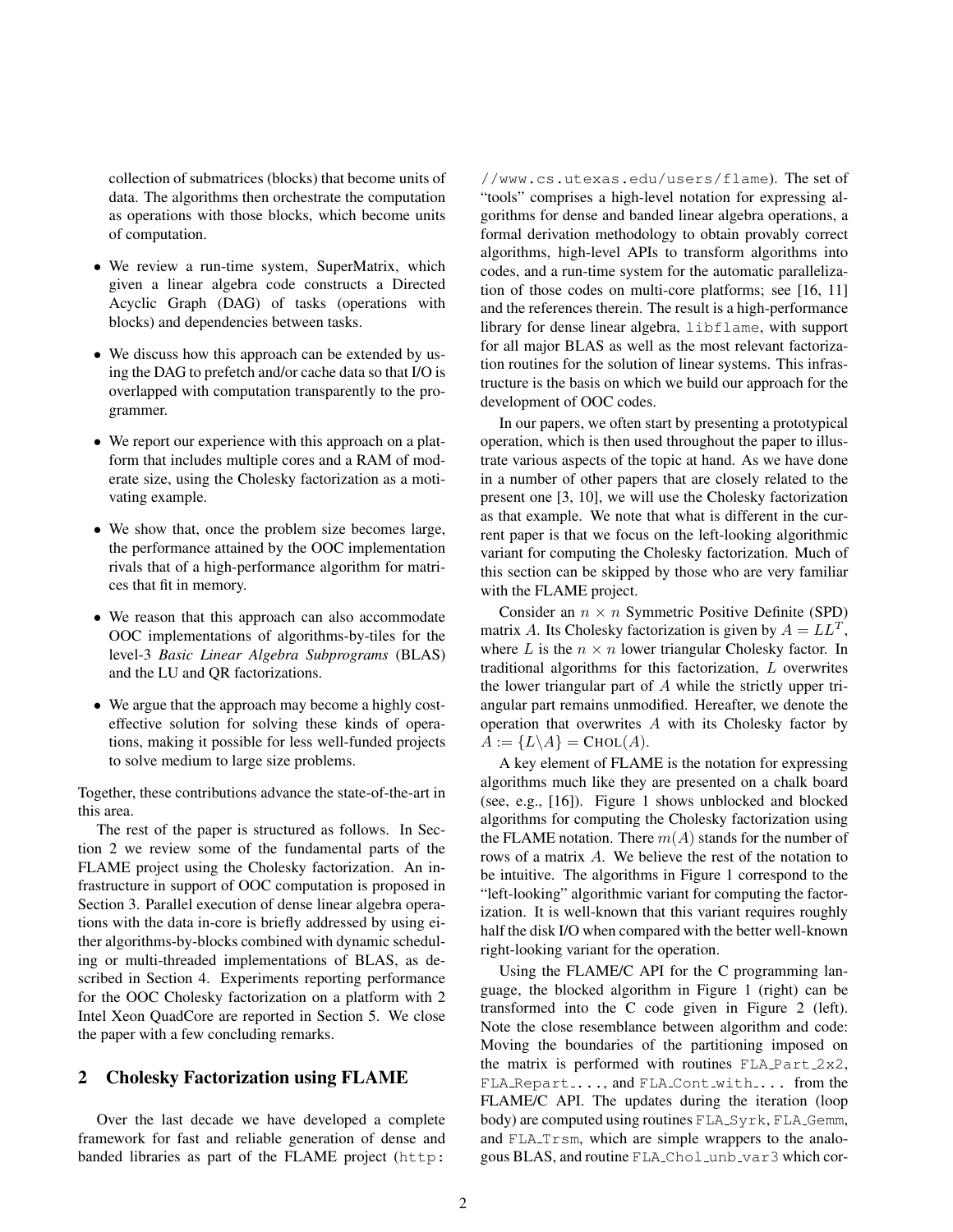collection of submatrices (blocks) that become units of data. The algorithms then orchestrate the computation as operations with those blocks, which become units of computation.

- We review a run-time system, SuperMatrix, which given a linear algebra code constructs a Directed Acyclic Graph (DAG) of tasks (operations with blocks) and dependencies between tasks.
- We discuss how this approach can be extended by using the DAG to prefetch and/or cache data so that I/O is overlapped with computation transparently to the programmer.
- We report our experience with this approach on a platform that includes multiple cores and a RAM of moderate size, using the Cholesky factorization as a motivating example.
- We show that, once the problem size becomes large, the performance attained by the OOC implementation rivals that of a high-performance algorithm for matrices that fit in memory.
- We reason that this approach can also accommodate OOC implementations of algorithms-by-tiles for the level-3 *Basic Linear Algebra Subprograms* (BLAS) and the LU and QR factorizations.
- We argue that the approach may become a highly costeffective solution for solving these kinds of operations, making it possible for less well-funded projects to solve medium to large size problems.

Together, these contributions advance the state-of-the-art in this area.

The rest of the paper is structured as follows. In Section 2 we review some of the fundamental parts of the FLAME project using the Cholesky factorization. An infrastructure in support of OOC computation is proposed in Section 3. Parallel execution of dense linear algebra operations with the data in-core is briefly addressed by using either algorithms-by-blocks combined with dynamic scheduling or multi-threaded implementations of BLAS, as described in Section 4. Experiments reporting performance for the OOC Cholesky factorization on a platform with 2 Intel Xeon QuadCore are reported in Section 5. We close the paper with a few concluding remarks.

## 2 Cholesky Factorization using FLAME

Over the last decade we have developed a complete framework for fast and reliable generation of dense and banded libraries as part of the FLAME project (http:

//www.cs.utexas.edu/users/flame). The set of "tools" comprises a high-level notation for expressing algorithms for dense and banded linear algebra operations, a formal derivation methodology to obtain provably correct algorithms, high-level APIs to transform algorithms into codes, and a run-time system for the automatic parallelization of those codes on multi-core platforms; see [16, 11] and the references therein. The result is a high-performance library for dense linear algebra, libflame, with support for all major BLAS as well as the most relevant factorization routines for the solution of linear systems. This infrastructure is the basis on which we build our approach for the development of OOC codes.

In our papers, we often start by presenting a prototypical operation, which is then used throughout the paper to illustrate various aspects of the topic at hand. As we have done in a number of other papers that are closely related to the present one [3, 10], we will use the Cholesky factorization as that example. We note that what is different in the current paper is that we focus on the left-looking algorithmic variant for computing the Cholesky factorization. Much of this section can be skipped by those who are very familiar with the FLAME project.

Consider an  $n \times n$  Symmetric Positive Definite (SPD) matrix A. Its Cholesky factorization is given by  $A = LL^T$ , where L is the  $n \times n$  lower triangular Cholesky factor. In traditional algorithms for this factorization, L overwrites the lower triangular part of A while the strictly upper triangular part remains unmodified. Hereafter, we denote the operation that overwrites  $A$  with its Cholesky factor by  $A := \{L \setminus A\} = \text{CHOL}(A).$ 

A key element of FLAME is the notation for expressing algorithms much like they are presented on a chalk board (see, e.g., [16]). Figure 1 shows unblocked and blocked algorithms for computing the Cholesky factorization using the FLAME notation. There  $m(A)$  stands for the number of rows of a matrix A. We believe the rest of the notation to be intuitive. The algorithms in Figure 1 correspond to the "left-looking" algorithmic variant for computing the factorization. It is well-known that this variant requires roughly half the disk I/O when compared with the better well-known right-looking variant for the operation.

Using the FLAME/C API for the C programming language, the blocked algorithm in Figure 1 (right) can be transformed into the C code given in Figure 2 (left). Note the close resemblance between algorithm and code: Moving the boundaries of the partitioning imposed on the matrix is performed with routines  $FLA.Part_2x2$ , FLA Repart ..., and FLA Cont with ... from the FLAME/C API. The updates during the iteration (loop body) are computed using routines FLA Syrk, FLA Gemm, and FLA\_Trsm, which are simple wrappers to the analogous BLAS, and routine FLA\_Chol\_unb\_var3 which cor-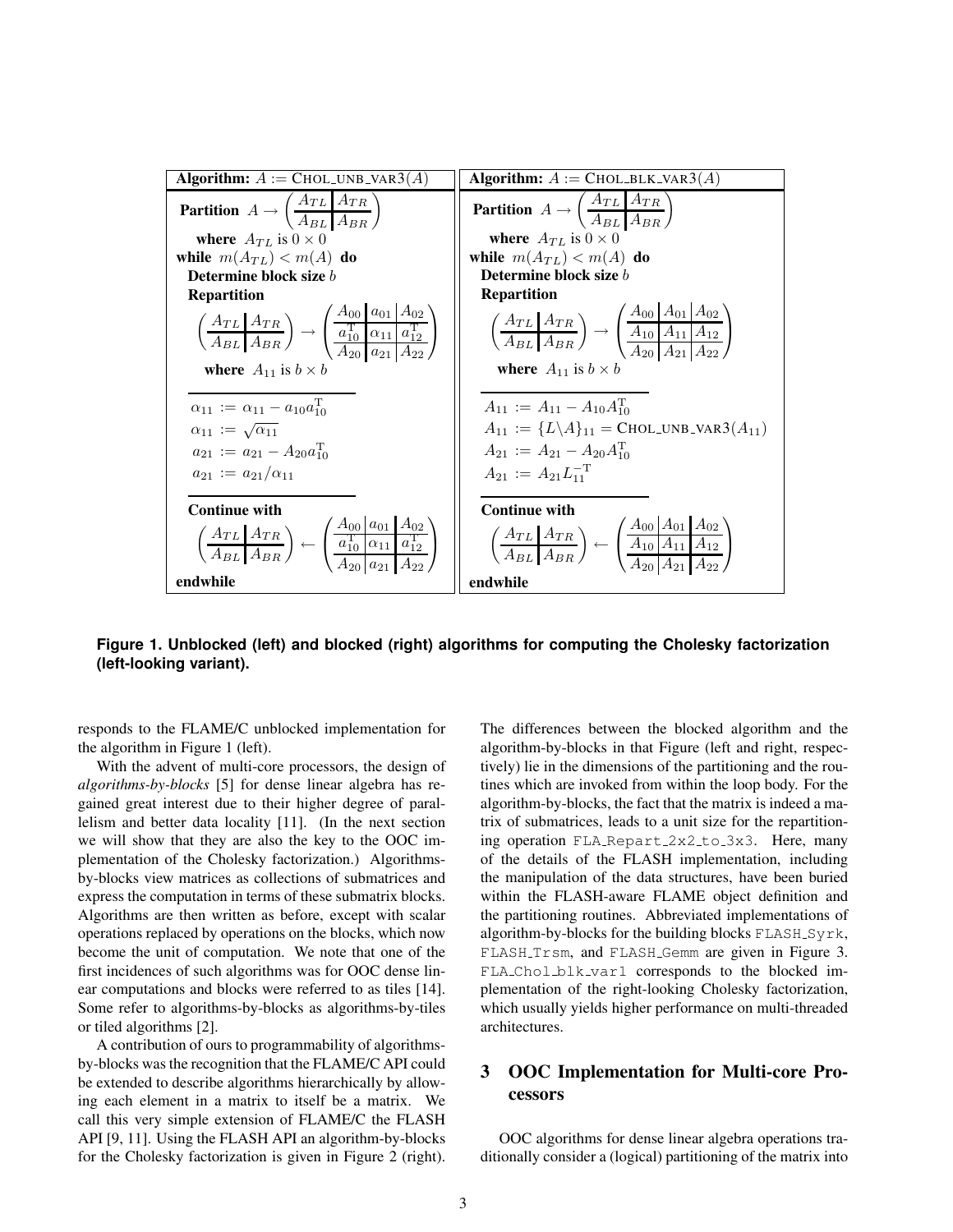| <b>Algorithm:</b> $A := \text{CHOL} \cup \text{NB} \cup \text{AR3}(A)$                                                                                                                                                                                                                                                                                  | <b>Algorithm:</b> $A := \text{CHOL-BLK_VAR3}(A)$                                                                                                                                                                                                                                                                                                                   |  |
|---------------------------------------------------------------------------------------------------------------------------------------------------------------------------------------------------------------------------------------------------------------------------------------------------------------------------------------------------------|--------------------------------------------------------------------------------------------------------------------------------------------------------------------------------------------------------------------------------------------------------------------------------------------------------------------------------------------------------------------|--|
| <b>Partition</b> $A \rightarrow \left(\frac{A_{TL} A_{TR}}{A_{PL} A_{PR}}\right)$                                                                                                                                                                                                                                                                       | <b>Partition</b> $A \rightarrow \left(\frac{A_{TL}   A_{TR}}{A_{RT}   A_{DP}}\right)$                                                                                                                                                                                                                                                                              |  |
| where $A_{TL}$ is $0 \times 0$                                                                                                                                                                                                                                                                                                                          | where $A_{TL}$ is $0 \times 0$                                                                                                                                                                                                                                                                                                                                     |  |
| while $m(A_{TL}) < m(A)$ do                                                                                                                                                                                                                                                                                                                             | while $m(A_{TL}) < m(A)$ do                                                                                                                                                                                                                                                                                                                                        |  |
| Determine block size b                                                                                                                                                                                                                                                                                                                                  | Determine block size b                                                                                                                                                                                                                                                                                                                                             |  |
| <b>Repartition</b>                                                                                                                                                                                                                                                                                                                                      | <b>Repartition</b>                                                                                                                                                                                                                                                                                                                                                 |  |
| $\left(\frac{A_{TL}   A_{TR}}{A_{BL}   A_{BR}}\right) \rightarrow \left(\frac{\frac{A_{U0}   A_{U1} }{a_{10}^T   a_{11}  a_{12}^T}}{\frac{a_{11}^T   a_{12} }{a_{20}   a_{21}  A_{22}}}\right)$                                                                                                                                                         | $\left(\frac{A_{TL}   A_{TR}}{A_{BL}   A_{BR}}\right) \rightarrow \left(\frac{A_{00}   A_{01}   A_{02}}{A_{00}   A_{11}   A_{12}}\right)$                                                                                                                                                                                                                          |  |
| where $A_{11}$ is $b \times b$                                                                                                                                                                                                                                                                                                                          | where $A_{11}$ is $b \times b$                                                                                                                                                                                                                                                                                                                                     |  |
| $\alpha_{11} := \alpha_{11} - a_{10} a_{10}^{\mathrm{T}}$                                                                                                                                                                                                                                                                                               | $A_{11} := A_{11} - A_{10}A_{10}^{\mathrm{T}}$<br>$A_{11} := \{L \setminus A\}_{11} = \text{CHOL} \cup \text{NB} \cup \text{AR3}(A_{11})$                                                                                                                                                                                                                          |  |
| $\alpha_{11} := \sqrt{\alpha_{11}}$                                                                                                                                                                                                                                                                                                                     |                                                                                                                                                                                                                                                                                                                                                                    |  |
| $a_{21} := a_{21} - A_{20} a_{10}^{\mathrm{T}}$                                                                                                                                                                                                                                                                                                         | $A_{21} := A_{21} - A_{20}A_{10}^{T}$                                                                                                                                                                                                                                                                                                                              |  |
| $a_{21} := a_{21}/\alpha_{11}$                                                                                                                                                                                                                                                                                                                          | $A_{21} := A_{21} L_{11}^{-T}$                                                                                                                                                                                                                                                                                                                                     |  |
| <b>Continue with</b>                                                                                                                                                                                                                                                                                                                                    | <b>Continue with</b>                                                                                                                                                                                                                                                                                                                                               |  |
| $\left(\frac{A_{TL}   A_{TR}}{A_{BL}   A_{BR}}\right) \leftarrow \left(\frac{A_{00}   a_{01}   A_{02}}{\frac{a_{10}^T   a_{01}   a_{12}^T}{\frac{a_{12}^T   a_{12}^T}{\frac{a_{12}^T   a_{12}^T}{\frac{a_{12}^T   a_{12}^T}{\frac{a_{12}^T   a_{12}^T}{\frac{a_{12}^T   a_{12}^T}{\frac{a_{12}^T   a_{12}^T}{\frac{a_{12}^T   a_{12}^T}{\frac{a_{12}^T$ | $\left(\frac{A_{TL}   A_{TR}}{A_{BL}   A_{BR}}\right) \leftarrow \left(\frac{A_{00}   A_{01}   A_{02}   A_{11}   A_{12}   A_{13}   A_{14}   A_{15}   A_{16}   A_{17}   A_{18}   A_{19}   A_{11}   A_{12}   A_{13}   A_{14}   A_{15}   A_{16}   A_{17}   A_{18}   A_{19}   A_{11}   A_{12}   A_{13}   A_{14}   A_{15}   A_{17}   A_{18}   A_{19}   A_{10}   A_{11}$ |  |
| endwhile                                                                                                                                                                                                                                                                                                                                                | endwhile                                                                                                                                                                                                                                                                                                                                                           |  |

**Figure 1. Unblocked (left) and blocked (right) algorithms for computing the Cholesky factorization (left-looking variant).**

responds to the FLAME/C unblocked implementation for the algorithm in Figure 1 (left).

With the advent of multi-core processors, the design of *algorithms-by-blocks* [5] for dense linear algebra has regained great interest due to their higher degree of parallelism and better data locality [11]. (In the next section we will show that they are also the key to the OOC implementation of the Cholesky factorization.) Algorithmsby-blocks view matrices as collections of submatrices and express the computation in terms of these submatrix blocks. Algorithms are then written as before, except with scalar operations replaced by operations on the blocks, which now become the unit of computation. We note that one of the first incidences of such algorithms was for OOC dense linear computations and blocks were referred to as tiles [14]. Some refer to algorithms-by-blocks as algorithms-by-tiles or tiled algorithms [2].

A contribution of ours to programmability of algorithmsby-blocks was the recognition that the FLAME/C API could be extended to describe algorithms hierarchically by allowing each element in a matrix to itself be a matrix. We call this very simple extension of FLAME/C the FLASH API [9, 11]. Using the FLASH API an algorithm-by-blocks for the Cholesky factorization is given in Figure 2 (right).

The differences between the blocked algorithm and the algorithm-by-blocks in that Figure (left and right, respectively) lie in the dimensions of the partitioning and the routines which are invoked from within the loop body. For the algorithm-by-blocks, the fact that the matrix is indeed a matrix of submatrices, leads to a unit size for the repartitioning operation FLA Repart 2x2 to 3x3. Here, many of the details of the FLASH implementation, including the manipulation of the data structures, have been buried within the FLASH-aware FLAME object definition and the partitioning routines. Abbreviated implementations of algorithm-by-blocks for the building blocks FLASH Syrk, FLASH Trsm, and FLASH Gemm are given in Figure 3. FLA Chol blk var1 corresponds to the blocked implementation of the right-looking Cholesky factorization, which usually yields higher performance on multi-threaded architectures.

# 3 OOC Implementation for Multi-core Processors

OOC algorithms for dense linear algebra operations traditionally consider a (logical) partitioning of the matrix into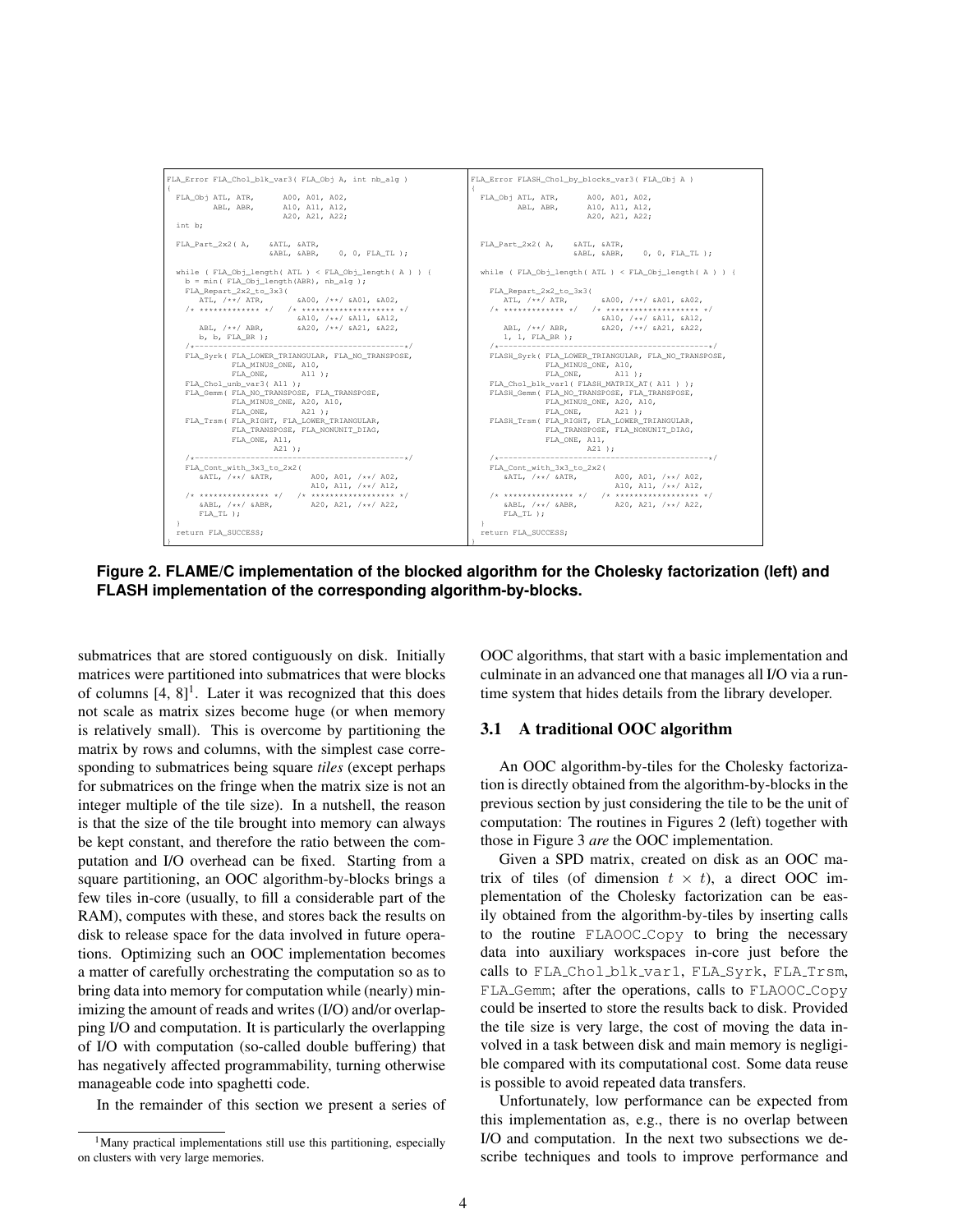

**Figure 2. FLAME/C implementation of the blocked algorithm for the Cholesky factorization (left) and FLASH implementation of the corresponding algorithm-by-blocks.**

submatrices that are stored contiguously on disk. Initially matrices were partitioned into submatrices that were blocks of columns  $[4, 8]$ <sup>1</sup>. Later it was recognized that this does not scale as matrix sizes become huge (or when memory is relatively small). This is overcome by partitioning the matrix by rows and columns, with the simplest case corresponding to submatrices being square *tiles* (except perhaps for submatrices on the fringe when the matrix size is not an integer multiple of the tile size). In a nutshell, the reason is that the size of the tile brought into memory can always be kept constant, and therefore the ratio between the computation and I/O overhead can be fixed. Starting from a square partitioning, an OOC algorithm-by-blocks brings a few tiles in-core (usually, to fill a considerable part of the RAM), computes with these, and stores back the results on disk to release space for the data involved in future operations. Optimizing such an OOC implementation becomes a matter of carefully orchestrating the computation so as to bring data into memory for computation while (nearly) minimizing the amount of reads and writes (I/O) and/or overlapping I/O and computation. It is particularly the overlapping of I/O with computation (so-called double buffering) that has negatively affected programmability, turning otherwise manageable code into spaghetti code.

In the remainder of this section we present a series of

OOC algorithms, that start with a basic implementation and culminate in an advanced one that manages all I/O via a runtime system that hides details from the library developer.

#### 3.1 A traditional OOC algorithm

An OOC algorithm-by-tiles for the Cholesky factorization is directly obtained from the algorithm-by-blocks in the previous section by just considering the tile to be the unit of computation: The routines in Figures 2 (left) together with those in Figure 3 *are* the OOC implementation.

Given a SPD matrix, created on disk as an OOC matrix of tiles (of dimension  $t \times t$ ), a direct OOC implementation of the Cholesky factorization can be easily obtained from the algorithm-by-tiles by inserting calls to the routine FLAOOC Copy to bring the necessary data into auxiliary workspaces in-core just before the calls to FLA\_Chol\_blk\_var1, FLA\_Syrk, FLA\_Trsm, FLA Gemm; after the operations, calls to FLAOOC Copy could be inserted to store the results back to disk. Provided the tile size is very large, the cost of moving the data involved in a task between disk and main memory is negligible compared with its computational cost. Some data reuse is possible to avoid repeated data transfers.

Unfortunately, low performance can be expected from this implementation as, e.g., there is no overlap between I/O and computation. In the next two subsections we describe techniques and tools to improve performance and

<sup>&</sup>lt;sup>1</sup>Many practical implementations still use this partitioning, especially on clusters with very large memories.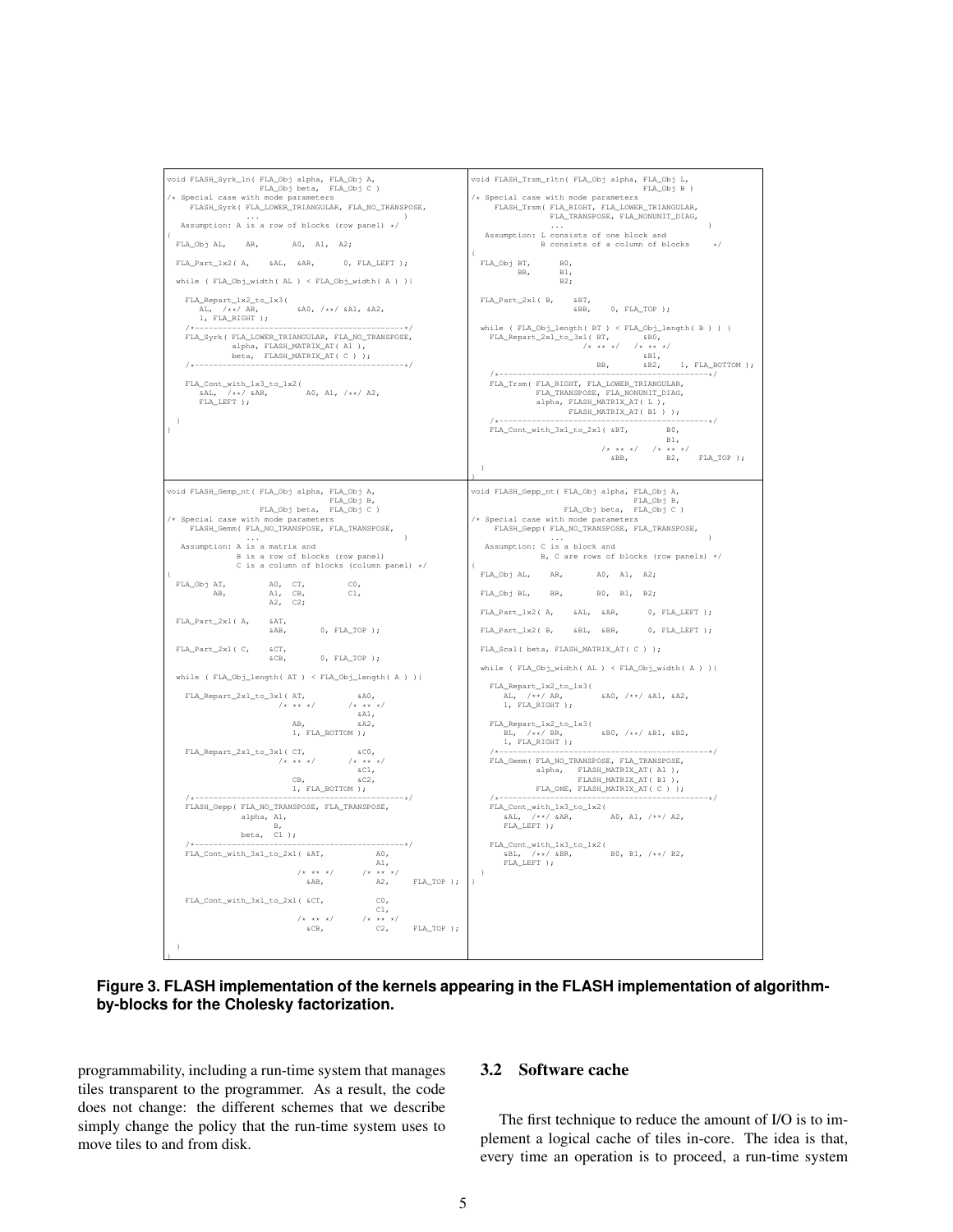

**Figure 3. FLASH implementation of the kernels appearing in the FLASH implementation of algorithmby-blocks for the Cholesky factorization.**

programmability, including a run-time system that manages tiles transparent to the programmer. As a result, the code does not change: the different schemes that we describe simply change the policy that the run-time system uses to move tiles to and from disk.

#### 3.2 Software cache

The first technique to reduce the amount of I/O is to implement a logical cache of tiles in-core. The idea is that, every time an operation is to proceed, a run-time system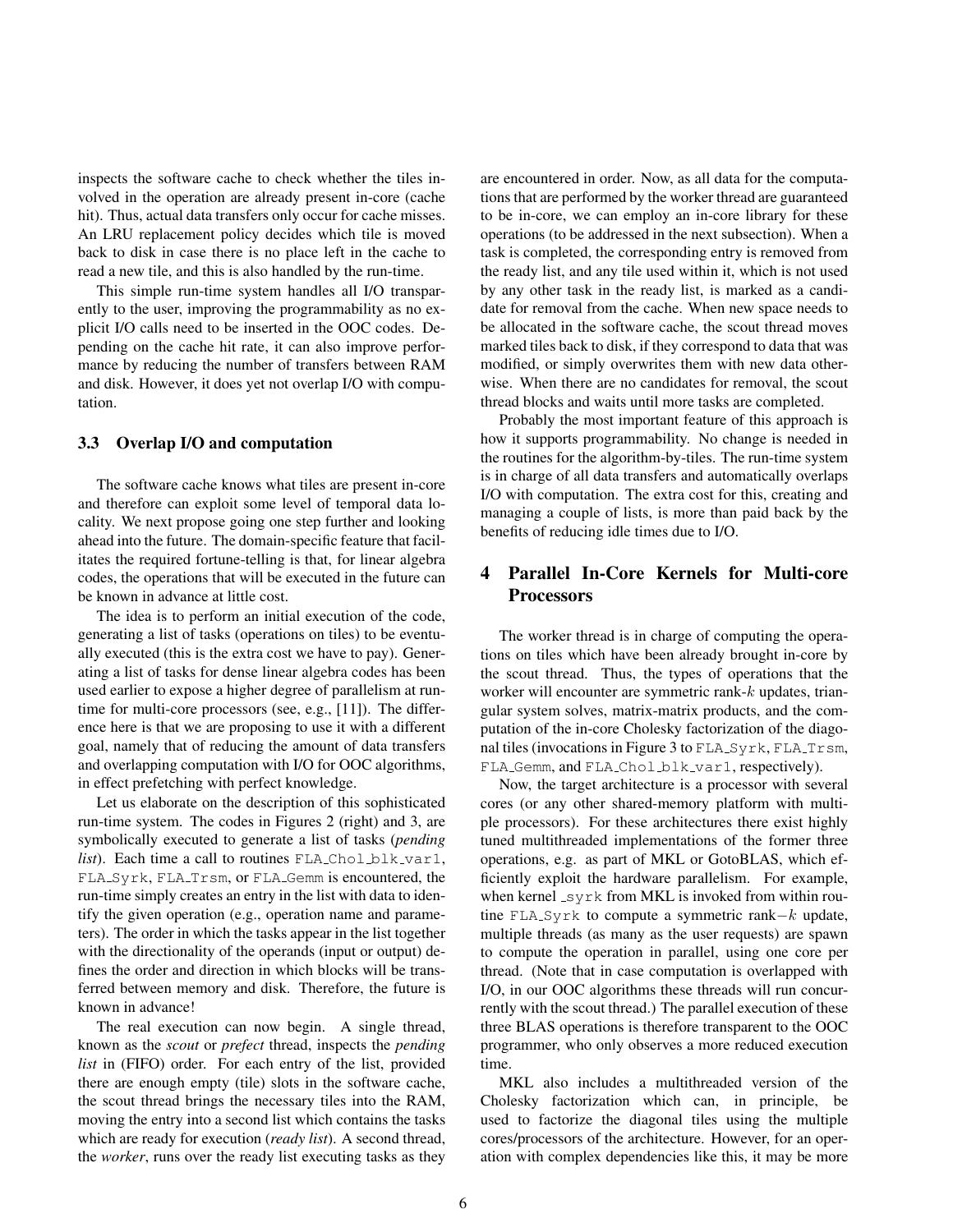inspects the software cache to check whether the tiles involved in the operation are already present in-core (cache hit). Thus, actual data transfers only occur for cache misses. An LRU replacement policy decides which tile is moved back to disk in case there is no place left in the cache to read a new tile, and this is also handled by the run-time.

This simple run-time system handles all I/O transparently to the user, improving the programmability as no explicit I/O calls need to be inserted in the OOC codes. Depending on the cache hit rate, it can also improve performance by reducing the number of transfers between RAM and disk. However, it does yet not overlap I/O with computation.

### 3.3 Overlap I/O and computation

The software cache knows what tiles are present in-core and therefore can exploit some level of temporal data locality. We next propose going one step further and looking ahead into the future. The domain-specific feature that facilitates the required fortune-telling is that, for linear algebra codes, the operations that will be executed in the future can be known in advance at little cost.

The idea is to perform an initial execution of the code, generating a list of tasks (operations on tiles) to be eventually executed (this is the extra cost we have to pay). Generating a list of tasks for dense linear algebra codes has been used earlier to expose a higher degree of parallelism at runtime for multi-core processors (see, e.g., [11]). The difference here is that we are proposing to use it with a different goal, namely that of reducing the amount of data transfers and overlapping computation with I/O for OOC algorithms, in effect prefetching with perfect knowledge.

Let us elaborate on the description of this sophisticated run-time system. The codes in Figures 2 (right) and 3, are symbolically executed to generate a list of tasks (*pending list*). Each time a call to routines FLA Chol blk\_var1, FLA Syrk, FLA Trsm, or FLA Gemm is encountered, the run-time simply creates an entry in the list with data to identify the given operation (e.g., operation name and parameters). The order in which the tasks appear in the list together with the directionality of the operands (input or output) defines the order and direction in which blocks will be transferred between memory and disk. Therefore, the future is known in advance!

The real execution can now begin. A single thread, known as the *scout* or *prefect* thread, inspects the *pending list* in (FIFO) order. For each entry of the list, provided there are enough empty (tile) slots in the software cache, the scout thread brings the necessary tiles into the RAM, moving the entry into a second list which contains the tasks which are ready for execution (*ready list*). A second thread, the *worker*, runs over the ready list executing tasks as they

are encountered in order. Now, as all data for the computations that are performed by the worker thread are guaranteed to be in-core, we can employ an in-core library for these operations (to be addressed in the next subsection). When a task is completed, the corresponding entry is removed from the ready list, and any tile used within it, which is not used by any other task in the ready list, is marked as a candidate for removal from the cache. When new space needs to be allocated in the software cache, the scout thread moves marked tiles back to disk, if they correspond to data that was modified, or simply overwrites them with new data otherwise. When there are no candidates for removal, the scout thread blocks and waits until more tasks are completed.

Probably the most important feature of this approach is how it supports programmability. No change is needed in the routines for the algorithm-by-tiles. The run-time system is in charge of all data transfers and automatically overlaps I/O with computation. The extra cost for this, creating and managing a couple of lists, is more than paid back by the benefits of reducing idle times due to I/O.

# 4 Parallel In-Core Kernels for Multi-core Processors

The worker thread is in charge of computing the operations on tiles which have been already brought in-core by the scout thread. Thus, the types of operations that the worker will encounter are symmetric rank-k updates, triangular system solves, matrix-matrix products, and the computation of the in-core Cholesky factorization of the diagonal tiles (invocations in Figure 3 to FLA\_Syrk, FLA\_Trsm, FLA Gemm, and FLA Chol blk var1, respectively).

Now, the target architecture is a processor with several cores (or any other shared-memory platform with multiple processors). For these architectures there exist highly tuned multithreaded implementations of the former three operations, e.g. as part of MKL or GotoBLAS, which efficiently exploit the hardware parallelism. For example, when kernel  $\text{Lyrk}$  from MKL is invoked from within routine FLA\_Syrk to compute a symmetric rank $-k$  update, multiple threads (as many as the user requests) are spawn to compute the operation in parallel, using one core per thread. (Note that in case computation is overlapped with I/O, in our OOC algorithms these threads will run concurrently with the scout thread.) The parallel execution of these three BLAS operations is therefore transparent to the OOC programmer, who only observes a more reduced execution time.

MKL also includes a multithreaded version of the Cholesky factorization which can, in principle, be used to factorize the diagonal tiles using the multiple cores/processors of the architecture. However, for an operation with complex dependencies like this, it may be more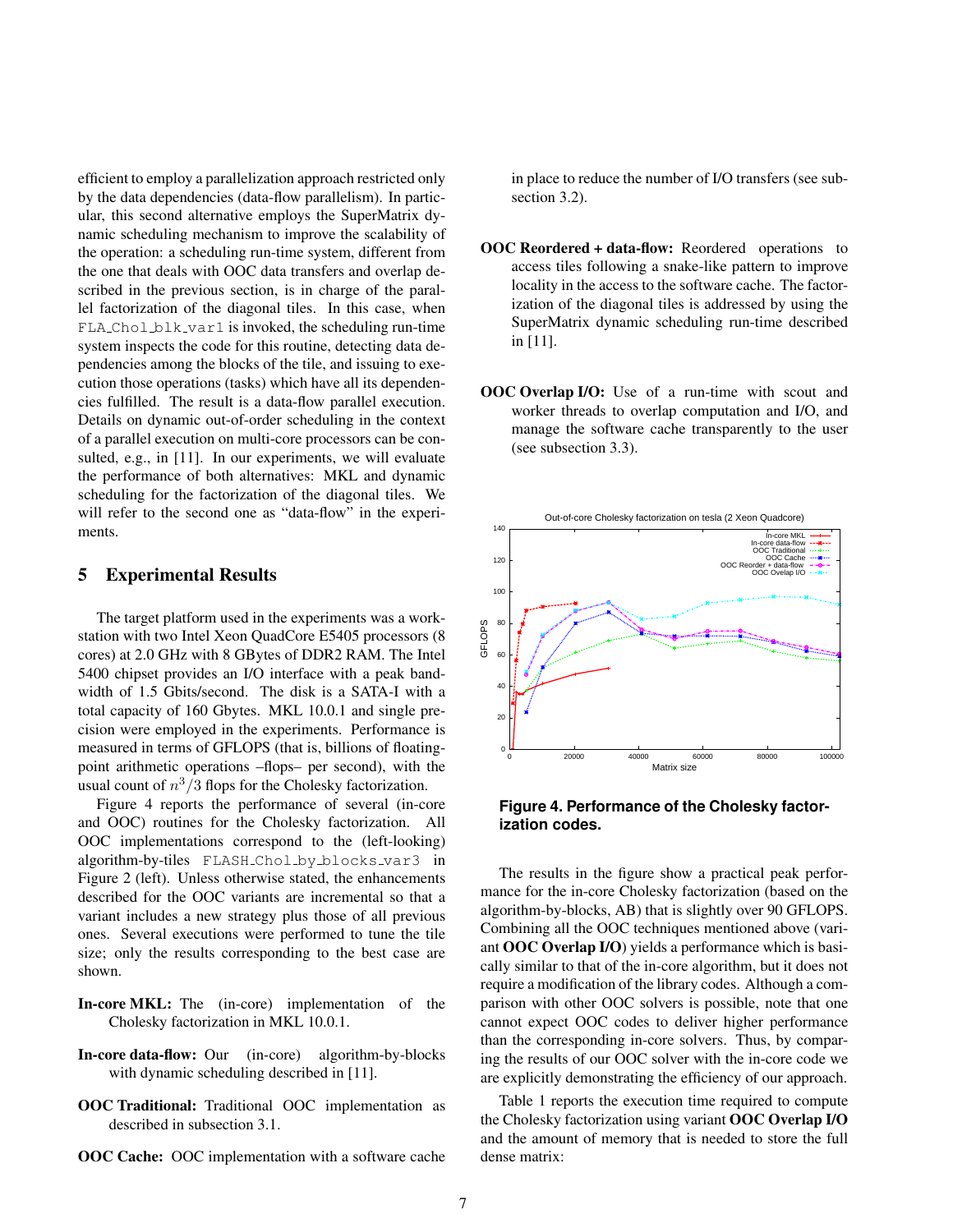efficient to employ a parallelization approach restricted only by the data dependencies (data-flow parallelism). In particular, this second alternative employs the SuperMatrix dynamic scheduling mechanism to improve the scalability of the operation: a scheduling run-time system, different from the one that deals with OOC data transfers and overlap described in the previous section, is in charge of the parallel factorization of the diagonal tiles. In this case, when  $FLA-Chol_blk_var1$  is invoked, the scheduling run-time system inspects the code for this routine, detecting data dependencies among the blocks of the tile, and issuing to execution those operations (tasks) which have all its dependencies fulfilled. The result is a data-flow parallel execution. Details on dynamic out-of-order scheduling in the context of a parallel execution on multi-core processors can be consulted, e.g., in [11]. In our experiments, we will evaluate the performance of both alternatives: MKL and dynamic scheduling for the factorization of the diagonal tiles. We will refer to the second one as "data-flow" in the experiments.

### 5 Experimental Results

The target platform used in the experiments was a workstation with two Intel Xeon QuadCore E5405 processors (8 cores) at 2.0 GHz with 8 GBytes of DDR2 RAM. The Intel 5400 chipset provides an I/O interface with a peak bandwidth of 1.5 Gbits/second. The disk is a SATA-I with a total capacity of 160 Gbytes. MKL 10.0.1 and single precision were employed in the experiments. Performance is measured in terms of GFLOPS (that is, billions of floatingpoint arithmetic operations –flops– per second), with the usual count of  $n^3/3$  flops for the Cholesky factorization.

Figure 4 reports the performance of several (in-core and OOC) routines for the Cholesky factorization. All OOC implementations correspond to the (left-looking) algorithm-by-tiles FLASH Chol by blocks var3 in Figure 2 (left). Unless otherwise stated, the enhancements described for the OOC variants are incremental so that a variant includes a new strategy plus those of all previous ones. Several executions were performed to tune the tile size; only the results corresponding to the best case are shown.

- In-core MKL: The (in-core) implementation of the Cholesky factorization in MKL 10.0.1.
- In-core data-flow: Our (in-core) algorithm-by-blocks with dynamic scheduling described in [11].
- OOC Traditional: Traditional OOC implementation as described in subsection 3.1.
- OOC Cache: OOC implementation with a software cache

in place to reduce the number of I/O transfers (see subsection 3.2).

- OOC Reordered + data-flow: Reordered operations to access tiles following a snake-like pattern to improve locality in the access to the software cache. The factorization of the diagonal tiles is addressed by using the SuperMatrix dynamic scheduling run-time described in [11].
- OOC Overlap I/O: Use of a run-time with scout and worker threads to overlap computation and I/O, and manage the software cache transparently to the user (see subsection 3.3).



**Figure 4. Performance of the Cholesky factorization codes.**

The results in the figure show a practical peak performance for the in-core Cholesky factorization (based on the algorithm-by-blocks, AB) that is slightly over 90 GFLOPS. Combining all the OOC techniques mentioned above (variant OOC Overlap I/O) yields a performance which is basically similar to that of the in-core algorithm, but it does not require a modification of the library codes. Although a comparison with other OOC solvers is possible, note that one cannot expect OOC codes to deliver higher performance than the corresponding in-core solvers. Thus, by comparing the results of our OOC solver with the in-core code we are explicitly demonstrating the efficiency of our approach.

Table 1 reports the execution time required to compute the Cholesky factorization using variant OOC Overlap I/O and the amount of memory that is needed to store the full dense matrix: